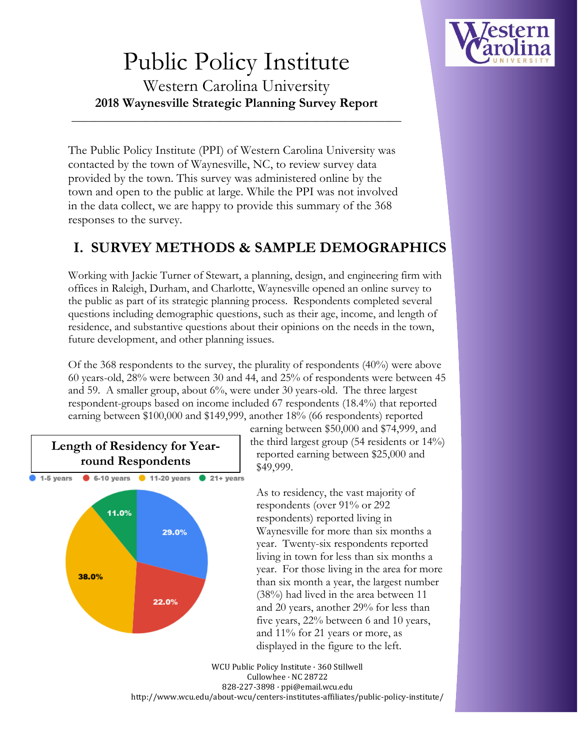

# Public Policy Institute Western Carolina University

**2018 Waynesville Strategic Planning Survey Report**

\_\_\_\_\_\_\_\_\_\_\_\_\_\_\_\_\_\_\_\_\_\_\_\_\_\_\_\_\_\_\_\_\_\_\_\_\_\_\_\_\_\_\_\_\_\_\_\_\_\_\_\_\_\_\_\_\_\_

The Public Policy Institute (PPI) of Western Carolina University was contacted by the town of Waynesville, NC, to review survey data provided by the town. This survey was administered online by the town and open to the public at large. While the PPI was not involved in the data collect, we are happy to provide this summary of the 368 responses to the survey.

## **I. SURVEY METHODS & SAMPLE DEMOGRAPHICS**

Working with Jackie Turner of Stewart, a planning, design, and engineering firm with offices in Raleigh, Durham, and Charlotte, Waynesville opened an online survey to the public as part of its strategic planning process. Respondents completed several questions including demographic questions, such as their age, income, and length of residence, and substantive questions about their opinions on the needs in the town, future development, and other planning issues.

Of the 368 respondents to the survey, the plurality of respondents (40%) were above 60 years-old, 28% were between 30 and 44, and 25% of respondents were between 45 and 59. A smaller group, about 6%, were under 30 years-old. The three largest respondent-groups based on income included 67 respondents (18.4%) that reported earning between \$100,000 and \$149,999, another 18% (66 respondents) reported



earning between \$50,000 and \$74,999, and the third largest group (54 residents or 14%) reported earning between \$25,000 and \$49,999.

As to residency, the vast majority of respondents (over 91% or 292 respondents) reported living in Waynesville for more than six months a year. Twenty-six respondents reported living in town for less than six months a year. For those living in the area for more than six month a year, the largest number (38%) had lived in the area between 11 and 20 years, another 29% for less than five years, 22% between 6 and 10 years, and 11% for 21 years or more, as displayed in the figure to the left.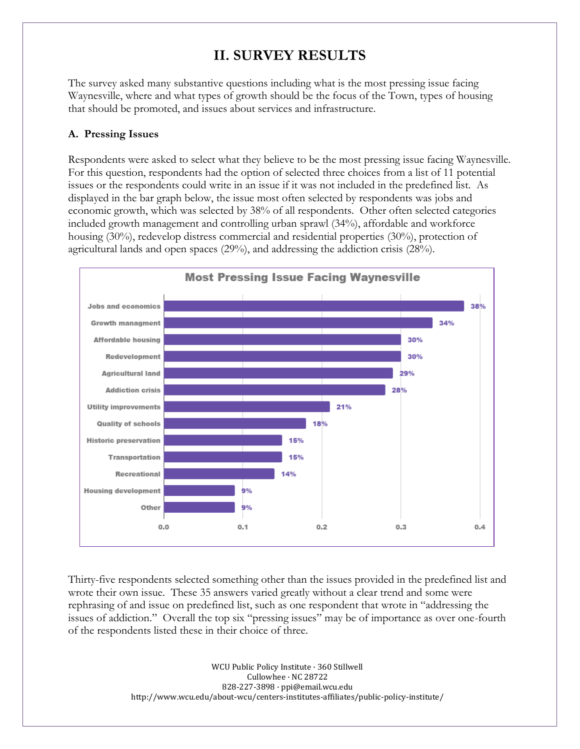### **II. SURVEY RESULTS**

The survey asked many substantive questions including what is the most pressing issue facing Waynesville, where and what types of growth should be the focus of the Town, types of housing that should be promoted, and issues about services and infrastructure.

#### **A. Pressing Issues**

Respondents were asked to select what they believe to be the most pressing issue facing Waynesville. For this question, respondents had the option of selected three choices from a list of 11 potential issues or the respondents could write in an issue if it was not included in the predefined list. As displayed in the bar graph below, the issue most often selected by respondents was jobs and economic growth, which was selected by 38% of all respondents. Other often selected categories included growth management and controlling urban sprawl (34%), affordable and workforce housing (30%), redevelop distress commercial and residential properties (30%), protection of agricultural lands and open spaces (29%), and addressing the addiction crisis (28%).



Thirty-five respondents selected something other than the issues provided in the predefined list and wrote their own issue. These 35 answers varied greatly without a clear trend and some were rephrasing of and issue on predefined list, such as one respondent that wrote in "addressing the issues of addiction." Overall the top six "pressing issues" may be of importance as over one-fourth of the respondents listed these in their choice of three.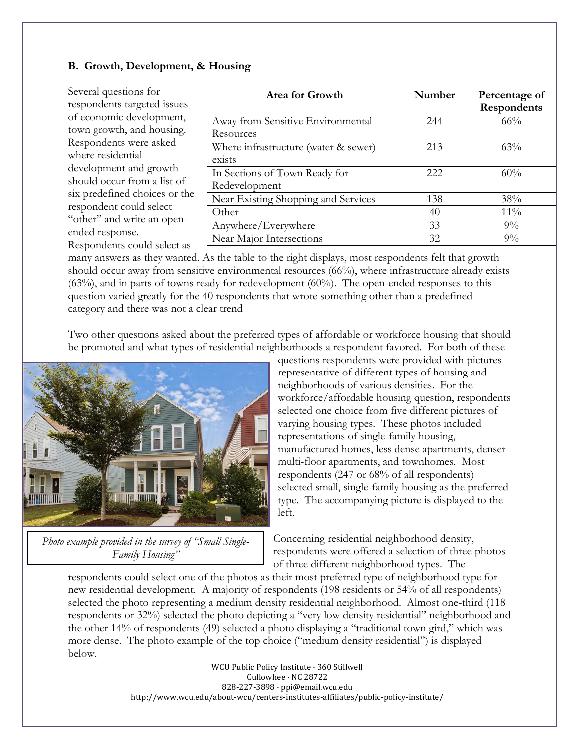#### **B. Growth, Development, & Housing**

Several questions for respondents targeted issues of economic development, town growth, and housing. Respondents were asked where residential development and growth should occur from a list of six predefined choices or the respondent could select "other" and write an openended response. Respondents could select as

| Area for Growth                      | Number | Percentage of |
|--------------------------------------|--------|---------------|
|                                      |        | Respondents   |
| Away from Sensitive Environmental    | 244    | $66\%$        |
| Resources                            |        |               |
| Where infrastructure (water & sewer) | 213    | 63%           |
| exists                               |        |               |
| In Sections of Town Ready for        | 222.   | 60%           |
| Redevelopment                        |        |               |
| Near Existing Shopping and Services  | 138    | 38%           |
| Other                                | 40     | $11\%$        |
| Anywhere/Everywhere                  | 33     | $9\%$         |
| Near Major Intersections             | 32     | $9\%$         |

many answers as they wanted. As the table to the right displays, most respondents felt that growth should occur away from sensitive environmental resources (66%), where infrastructure already exists  $(63%)$ , and in parts of towns ready for redevelopment  $(60%)$ . The open-ended responses to this question varied greatly for the 40 respondents that wrote something other than a predefined category and there was not a clear trend

Two other questions asked about the preferred types of affordable or workforce housing that should be promoted and what types of residential neighborhoods a respondent favored. For both of these



*Photo example provided in the survey of "Small Single-Family Housing"*

questions respondents were provided with pictures representative of different types of housing and neighborhoods of various densities. For the workforce/affordable housing question, respondents selected one choice from five different pictures of varying housing types. These photos included representations of single-family housing, manufactured homes, less dense apartments, denser multi-floor apartments, and townhomes. Most respondents (247 or 68% of all respondents) selected small, single-family housing as the preferred type. The accompanying picture is displayed to the left.

Concerning residential neighborhood density, respondents were offered a selection of three photos of three different neighborhood types. The

respondents could select one of the photos as their most preferred type of neighborhood type for new residential development. A majority of respondents (198 residents or 54% of all respondents) selected the photo representing a medium density residential neighborhood. Almost one-third (118 respondents or 32%) selected the photo depicting a "very low density residential" neighborhood and the other 14% of respondents (49) selected a photo displaying a "traditional town gird," which was more dense. The photo example of the top choice ("medium density residential") is displayed below.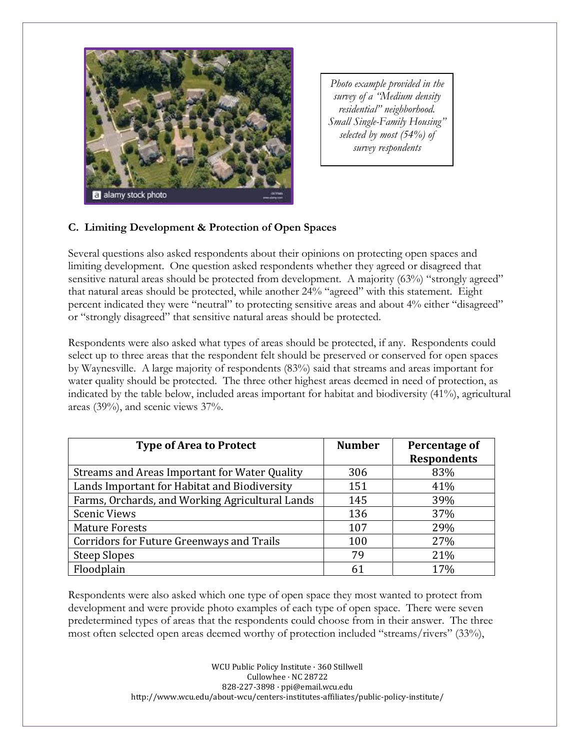

*Photo example provided in the survey of a "Medium density residential" neighborhood. Small Single-Family Housing" selected by most (54%) of survey respondents* 

#### **C. Limiting Development & Protection of Open Spaces**

Several questions also asked respondents about their opinions on protecting open spaces and limiting development. One question asked respondents whether they agreed or disagreed that sensitive natural areas should be protected from development. A majority (63%) "strongly agreed" that natural areas should be protected, while another 24% "agreed" with this statement. Eight percent indicated they were "neutral" to protecting sensitive areas and about 4% either "disagreed" or "strongly disagreed" that sensitive natural areas should be protected.

Respondents were also asked what types of areas should be protected, if any. Respondents could select up to three areas that the respondent felt should be preserved or conserved for open spaces by Waynesville. A large majority of respondents (83%) said that streams and areas important for water quality should be protected. The three other highest areas deemed in need of protection, as indicated by the table below, included areas important for habitat and biodiversity (41%), agricultural areas (39%), and scenic views 37%.

| <b>Type of Area to Protect</b>                  | <b>Number</b> | Percentage of<br><b>Respondents</b> |
|-------------------------------------------------|---------------|-------------------------------------|
| Streams and Areas Important for Water Quality   | 306           | 83%                                 |
| Lands Important for Habitat and Biodiversity    | 151           | 41%                                 |
| Farms, Orchards, and Working Agricultural Lands | 145           | 39%                                 |
| <b>Scenic Views</b>                             | 136           | 37%                                 |
| <b>Mature Forests</b>                           | 107           | 29%                                 |
| Corridors for Future Greenways and Trails       | 100           | 27%                                 |
| <b>Steep Slopes</b>                             | 79            | 21%                                 |
| Floodplain                                      | 61            | 17%                                 |

Respondents were also asked which one type of open space they most wanted to protect from development and were provide photo examples of each type of open space. There were seven predetermined types of areas that the respondents could choose from in their answer. The three most often selected open areas deemed worthy of protection included "streams/rivers" (33%),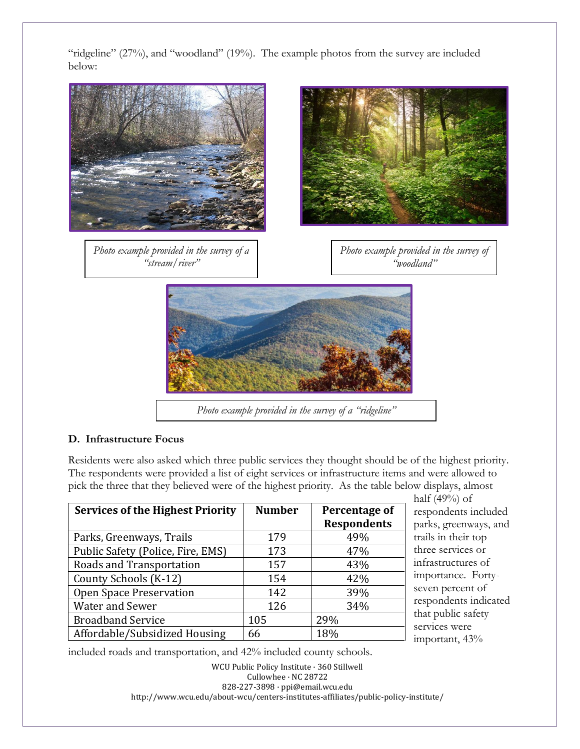"ridgeline" (27%), and "woodland" (19%). The example photos from the survey are included below:



#### **D. Infrastructure Focus**

Residents were also asked which three public services they thought should be of the highest priority. The respondents were provided a list of eight services or infrastructure items and were allowed to pick the three that they believed were of the highest priority. As the table below displays, almost

| <b>Services of the Highest Priority</b> | <b>Number</b> | Percentage of<br><b>Respondents</b> |
|-----------------------------------------|---------------|-------------------------------------|
| Parks, Greenways, Trails                | 179           | 49%                                 |
| Public Safety (Police, Fire, EMS)       | 173           | 47%                                 |
| Roads and Transportation                | 157           | 43%                                 |
| County Schools (K-12)                   | 154           | 42%                                 |
| Open Space Preservation                 | 142           | 39%                                 |
| <b>Water and Sewer</b>                  | 126           | 34%                                 |
| <b>Broadband Service</b>                | 105           | 29%                                 |
| Affordable/Subsidized Housing           | 66            | 18%                                 |

half (49%) of respondents included parks, greenways, and trails in their top three services or infrastructures of importance. Fortyseven percent of respondents indicated that public safety services were important, 43%

included roads and transportation, and 42% included county schools.